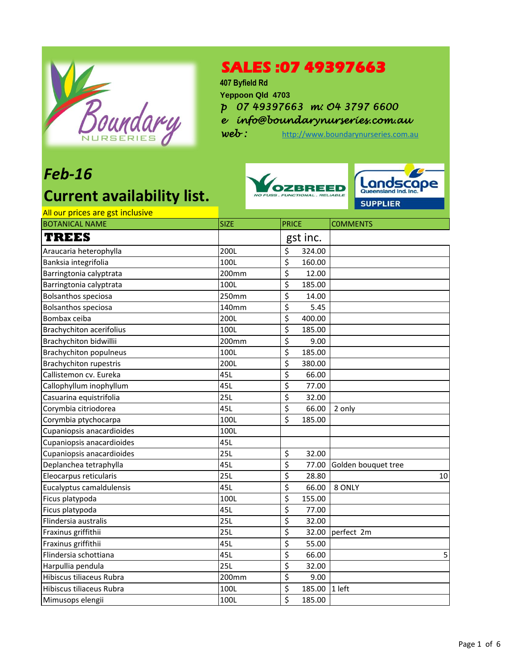

### **SALES :07 49397663**

**407 Byfield Rd Yeppoon Qld 4703**

*p 07 49397663 m: O4 3797 6600*

*e info@boundarynurseries.com.au*

web: [http://www.boundarynurseries.com.au](http://www.boundarynurseries.com.au/)

## *Feb-16*

# **Current availability list.**





### All our prices are gst inclusive

| <u>All our prices are got inclusive</u><br><b>BOTANICAL NAME</b> | <b>SIZE</b> | <b>PRICE</b>               | <b>COMMENTS</b>     |
|------------------------------------------------------------------|-------------|----------------------------|---------------------|
| TREES                                                            |             | gst inc.                   |                     |
| Araucaria heterophylla                                           | 200L        | \$<br>324.00               |                     |
| Banksia integrifolia                                             | 100L        | \$<br>160.00               |                     |
| Barringtonia calyptrata                                          | 200mm       | \$<br>12.00                |                     |
| Barringtonia calyptrata                                          | 100L        | \$<br>185.00               |                     |
| <b>Bolsanthos speciosa</b>                                       | 250mm       | \$<br>14.00                |                     |
| <b>Bolsanthos speciosa</b>                                       | 140mm       | \$<br>5.45                 |                     |
| Bombax ceiba                                                     | <b>200L</b> | \$<br>400.00               |                     |
| <b>Brachychiton acerifolius</b>                                  | 100L        | \$<br>185.00               |                     |
| Brachychiton bidwillii                                           | 200mm       | \$<br>9.00                 |                     |
| <b>Brachychiton populneus</b>                                    | 100L        | \$<br>185.00               |                     |
| <b>Brachychiton rupestris</b>                                    | 200L        | \$<br>380.00               |                     |
| Callistemon cv. Eureka                                           | 45L         | \$<br>66.00                |                     |
| Callophyllum inophyllum                                          | 45L         | \$<br>77.00                |                     |
| Casuarina equistrifolia                                          | 25L         | \$<br>32.00                |                     |
| Corymbia citriodorea                                             | 45L         | \$<br>66.00                | 2 only              |
| Corymbia ptychocarpa                                             | 100L        | \$<br>185.00               |                     |
| Cupaniopsis anacardioides                                        | 100L        |                            |                     |
| Cupaniopsis anacardioides                                        | 45L         |                            |                     |
| Cupaniopsis anacardioides                                        | 25L         | \$<br>32.00                |                     |
| Deplanchea tetraphylla                                           | 45L         | $\overline{\xi}$<br>77.00  | Golden bouquet tree |
| Eleocarpus reticularis                                           | 25L         | \$<br>28.80                | 10                  |
| Eucalyptus camaldulensis                                         | 45L         | \$<br>66.00                | 8 ONLY              |
| Ficus platypoda                                                  | 100L        | \$<br>155.00               |                     |
| Ficus platypoda                                                  | 45L         | \$<br>77.00                |                     |
| Flindersia australis                                             | 25L         | $\overline{\xi}$<br>32.00  |                     |
| Fraxinus griffithii                                              | 25L         | \$<br>32.00                | perfect 2m          |
| Fraxinus griffithii                                              | 45L         | \$<br>55.00                |                     |
| Flindersia schottiana                                            | 45L         | \$<br>66.00                | 5                   |
| Harpullia pendula                                                | 25L         | \$<br>32.00                |                     |
| Hibiscus tiliaceus Rubra                                         | 200mm       | \$<br>9.00                 |                     |
| Hibiscus tiliaceus Rubra                                         | 100L        | \$<br>185.00               | 1 left              |
| Mimusops elengii                                                 | 100L        | $\overline{\xi}$<br>185.00 |                     |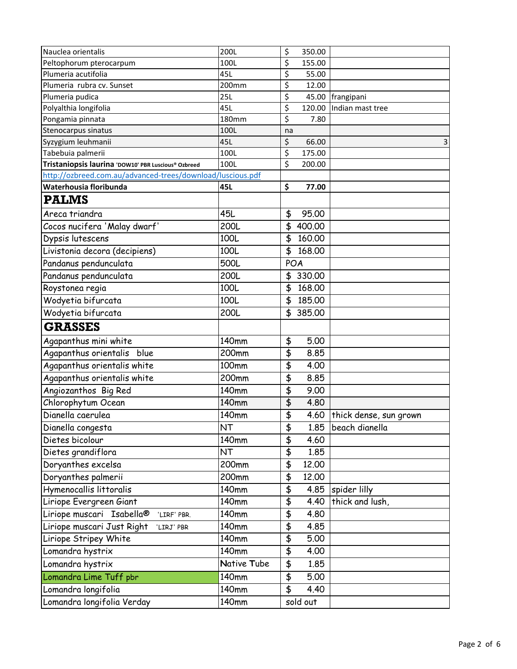| Nauclea orientalis                                                                   | 200L         | \$<br>350.00                                   |                        |
|--------------------------------------------------------------------------------------|--------------|------------------------------------------------|------------------------|
| Peltophorum pterocarpum                                                              | 100L         | \$<br>155.00                                   |                        |
| Plumeria acutifolia                                                                  | 45L          | \$<br>55.00                                    |                        |
| Plumeria rubra cv. Sunset                                                            | 200mm        | \$<br>12.00                                    |                        |
| Plumeria pudica                                                                      | 25L          | \$<br>45.00                                    | frangipani             |
| Polyalthia longifolia                                                                | 45L          | \$<br>120.00                                   | Indian mast tree       |
| Pongamia pinnata                                                                     | <b>180mm</b> | \$<br>7.80                                     |                        |
| Stenocarpus sinatus                                                                  | 100L         | na                                             |                        |
| Syzygium leuhmanii                                                                   | 45L          | \$<br>66.00                                    | 3                      |
| Tabebuia palmerii                                                                    | 100L         | \$<br>175.00                                   |                        |
| Tristaniopsis laurina 'DOW10' PBR Luscious® Ozbreed                                  | 100L         | \$<br>200.00                                   |                        |
| http://ozbreed.com.au/advanced-trees/download/luscious.pdf<br>Waterhousia floribunda | 45L          | \$<br>77.00                                    |                        |
| <b>PALMS</b>                                                                         |              |                                                |                        |
|                                                                                      |              |                                                |                        |
| Areca triandra                                                                       | 45L          | \$<br>95.00                                    |                        |
| Cocos nucifera 'Malay dwarf'                                                         | 200L         | \$<br>400.00                                   |                        |
| Dypsis lutescens                                                                     | 100L         | \$<br>160.00                                   |                        |
| Livistonia decora (decipiens)                                                        | 100L         | \$<br>168,00                                   |                        |
| Pandanus pendunculata                                                                | 500L         | POA                                            |                        |
| Pandanus pendunculata                                                                | 200L         | 330.00<br>\$                                   |                        |
| Roystonea regia                                                                      | 100L         | \$<br>168.00                                   |                        |
| Wodyetia bifurcata                                                                   | 100L         | \$<br>185.00                                   |                        |
| Wodyetia bifurcata                                                                   | 200L         | \$<br>385.00                                   |                        |
| <b>GRASSES</b>                                                                       |              |                                                |                        |
| Agapanthus mini white                                                                | 140mm        | \$<br>5.00                                     |                        |
| Agapanthus orientalis blue                                                           | 200mm        | $\overline{\boldsymbol{\mathfrak{s}}}$<br>8.85 |                        |
| Agapanthus orientalis white                                                          | 100mm        | \$<br>4.00                                     |                        |
| Agapanthus orientalis white                                                          | 200mm        | $\overline{\boldsymbol{\mathfrak{s}}}$<br>8.85 |                        |
| Angiozanthos Big Red                                                                 | 140mm        | \$<br>9.00                                     |                        |
| Chlorophytum Ocean                                                                   | 140mm        | $\overline{\boldsymbol{\mathsf{t}}}$<br>4.80   |                        |
| Dianella caerulea                                                                    | 140mm        | \$<br>4.60                                     | thick dense, sun grown |
| Dianella congesta                                                                    | NT           | \$<br>1.85                                     | beach dianella         |
| Dietes bicolour                                                                      | <b>140mm</b> | $\overline{\mathfrak{s}}$<br>4.60              |                        |
| Dietes grandiflora                                                                   | NT           | \$<br>1.85                                     |                        |
| Doryanthes excelsa                                                                   | 200mm        | \$<br>12.00                                    |                        |
| Doryanthes palmerii                                                                  | 200mm        | \$<br>12.00                                    |                        |
| Hymenocallis littoralis                                                              | 140mm        | \$<br>4.85                                     | spider lilly           |
| Liriope Evergreen Giant                                                              | 140mm        | \$<br>4.40                                     | thick and lush,        |
| Liriope muscari Isabella®<br>'LIRF' PBR.                                             | 140mm        | \$<br>4.80                                     |                        |
| Liriope muscari Just Right<br>'LIRJ' PBR                                             | 140mm        | \$<br>4.85                                     |                        |
| Liriope Stripey White                                                                | 140mm        | \$<br>5.00                                     |                        |
| Lomandra hystrix                                                                     | 140mm        | $\overline{\boldsymbol{\mathfrak{s}}}$<br>4.00 |                        |
| Lomandra hystrix                                                                     | Native Tube  | \$<br>1.85                                     |                        |
| Lomandra Lime Tuff pbr                                                               | 140mm        | $\overline{\mathbf{f}}$<br>5.00                |                        |
| Lomandra longifolia                                                                  | 140mm        | \$<br>4.40                                     |                        |
| Lomandra longifolia Verday                                                           | 140mm        | sold out                                       |                        |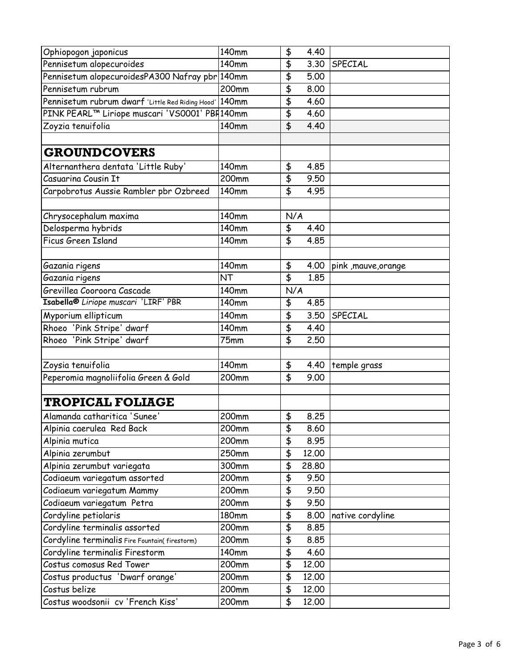| Ophiopogon japonicus                             | $140$ mm     | \$<br>4.40                                   |                      |
|--------------------------------------------------|--------------|----------------------------------------------|----------------------|
| Pennisetum alopecuroides                         | 140mm        | \$<br>3.30                                   | SPECIAL              |
| Pennisetum alopecuroidesPA300 Nafray pbr 140mm   |              | \$<br>5.00                                   |                      |
| Pennisetum rubrum                                | 200mm        | \$<br>8,00                                   |                      |
| Pennisetum rubrum dwarf 'Little Red Riding Hood' | 140mm        | \$<br>4.60                                   |                      |
| PINK PEARL™ Liriope muscari 'VS0001' PBR140mm    |              | \$<br>4.60                                   |                      |
| Zoyzia tenuifolia                                | 140mm        | \$<br>4.40                                   |                      |
|                                                  |              |                                              |                      |
| <b>GROUNDCOVERS</b>                              |              |                                              |                      |
| Alternanthera dentata 'Little Ruby'              | 140mm        | \$<br>4.85                                   |                      |
| Casuarina Cousin It                              | 200mm        | \$<br>9.50                                   |                      |
| Carpobrotus Aussie Rambler pbr Ozbreed           | 140mm        | \$<br>4.95                                   |                      |
|                                                  |              |                                              |                      |
| Chrysocephalum maxima                            | 140mm        | N/A                                          |                      |
| Delosperma hybrids                               | <b>140mm</b> | \$<br>4.40                                   |                      |
| Ficus Green Island                               | 140mm        | \$<br>4.85                                   |                      |
|                                                  |              |                                              |                      |
| Gazania rigens                                   | 140mm        | \$<br>4.00                                   | pink , mauve, orange |
| Gazania rigens                                   | <b>NT</b>    | $\overline{\mathbf{f}}$<br>1.85              |                      |
| Grevillea Cooroora Cascade                       | 140mm        | N/A                                          |                      |
| Isabella <sup>®</sup> Liriope muscari 'LIRF' PBR | 140mm        | \$<br>4.85                                   |                      |
| Myporium ellipticum                              | 140mm        | \$<br>3.50                                   | SPECIAL              |
| Rhoeo 'Pink Stripe' dwarf                        | 140mm        | \$<br>4.40                                   |                      |
| Rhoeo 'Pink Stripe' dwarf                        | 75mm         | \$<br>2.50                                   |                      |
|                                                  |              |                                              |                      |
| Zoysia tenuifolia                                | 140mm        | \$<br>4.40                                   | temple grass         |
| Peperomia magnoliifolia Green & Gold             | 200mm        | \$<br>9.00                                   |                      |
|                                                  |              |                                              |                      |
| <b>TROPICAL FOLIAGE</b>                          |              |                                              |                      |
| Alamanda catharitica 'Sunee'                     | 200mm        | \$<br>8.25                                   |                      |
| Alpinia caerulea Red Back                        | 200mm        | 8.60<br>\$                                   |                      |
| Alpinia mutica                                   | 200mm        | \$<br>8.95                                   |                      |
| Alpinia zerumbut                                 | 250mm        | \$<br>12.00                                  |                      |
| Alpinia zerumbut variegata                       | 300mm        | \$<br>28.80                                  |                      |
| Codiaeum variegatum assorted                     | 200mm        | \$<br>9.50                                   |                      |
| Codiaeum variegatum Mammy                        | 200mm        | $\overline{\boldsymbol{\mathsf{t}}}$<br>9.50 |                      |
| Codiaeum variegatum Petra                        | 200mm        | \$<br>9.50                                   |                      |
| Cordyline petiolaris                             | <b>180mm</b> | \$<br>8.00                                   | native cordyline     |
| Cordyline terminalis assorted                    | 200mm        | \$<br>8.85                                   |                      |
| Cordyline terminalis Fire Fountain(firestorm)    | 200mm        | \$<br>8.85                                   |                      |
| Cordyline terminalis Firestorm                   | 140mm        | \$<br>4.60                                   |                      |
| Costus comosus Red Tower                         | 200mm        | \$<br>12.00                                  |                      |
| Costus productus 'Dwarf orange'                  | 200mm        | \$<br>12.00                                  |                      |
| Costus belize                                    | 200mm        | \$<br>12.00                                  |                      |
| Costus woodsonii cv 'French Kiss'                | 200mm        | \$<br>12.00                                  |                      |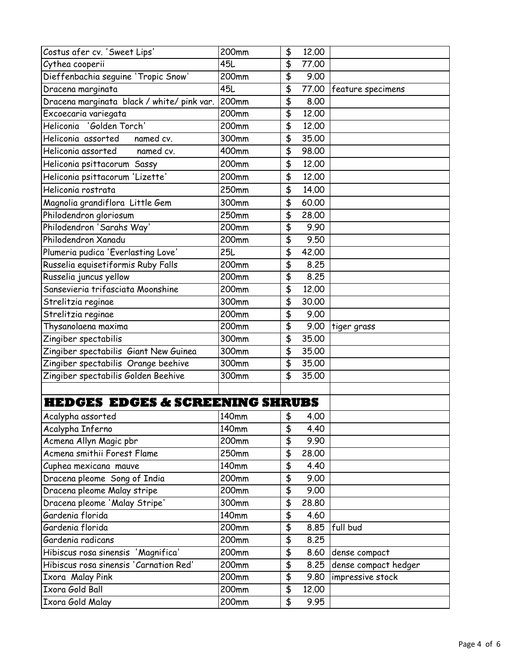| Costus afer cv. 'Sweet Lips'               | 200mm | \$                                     | 12.00 |                      |
|--------------------------------------------|-------|----------------------------------------|-------|----------------------|
| Cythea cooperii                            | 45L   | \$                                     | 77.00 |                      |
| Dieffenbachia seguine 'Tropic Snow'        | 200mm | \$                                     | 9.00  |                      |
| Dracena marginata                          | 45L   | \$                                     | 77.00 | feature specimens    |
| Dracena marginata black / white/ pink var. | 200mm | \$                                     | 8,00  |                      |
| Excoecaria variegata                       | 200mm | \$                                     | 12.00 |                      |
| Heliconia 'Golden Torch'                   | 200mm | \$                                     | 12.00 |                      |
| Heliconia assorted<br>named cv.            | 300mm | \$                                     | 35.00 |                      |
| Heliconia assorted<br>named cv.            | 400mm | \$                                     | 98.00 |                      |
| Heliconia psittacorum Sassy                | 200mm | \$                                     | 12.00 |                      |
| Heliconia psittacorum 'Lizette'            | 200mm | \$                                     | 12.00 |                      |
| Heliconia rostrata                         | 250mm | \$                                     | 14.00 |                      |
| Magnolia grandiflora Little Gem            | 300mm | \$                                     | 60.00 |                      |
| Philodendron gloriosum                     | 250mm | \$                                     | 28.00 |                      |
| Philodendron 'Sarahs Way'                  | 200mm | \$                                     | 9.90  |                      |
| Philodendron Xanadu                        | 200mm | \$                                     | 9.50  |                      |
| Plumeria pudica 'Everlasting Love'         | 25L   | \$                                     | 42.00 |                      |
| Russelia equisetiformis Ruby Falls         | 200mm | \$                                     | 8.25  |                      |
| Russelia juncus yellow                     | 200mm | \$                                     | 8.25  |                      |
| Sansevieria trifasciata Moonshine          | 200mm | $\overline{\boldsymbol{\mathfrak{s}}}$ | 12.00 |                      |
| Strelitzia reginae                         | 300mm | \$                                     | 30.00 |                      |
| Strelitzia reginae                         | 200mm | $\overline{\boldsymbol{\mathsf{t}}}$   | 9.00  |                      |
| Thysanolaena maxima                        | 200mm | \$                                     | 9.00  | tiger grass          |
| Zingiber spectabilis                       | 300mm | $\overline{\mathfrak{s}}$              | 35.00 |                      |
| Zingiber spectabilis Giant New Guinea      | 300mm | \$                                     | 35.00 |                      |
| Zingiber spectabilis Orange beehive        | 300mm | \$                                     | 35.00 |                      |
| Zingiber spectabilis Golden Beehive        | 300mm | \$                                     | 35.00 |                      |
|                                            |       |                                        |       |                      |
| <b>HEDGES EDGES &amp; SCREENING SHRUBS</b> |       |                                        |       |                      |
| Acalypha assorted                          | 140mm | \$                                     | 4.00  |                      |
| Acalypha Inferno                           | 140mm | \$                                     | 4.40  |                      |
| Acmena Allyn Magic pbr                     | 200mm | \$                                     | 9.90  |                      |
| Acmena smithii Forest Flame                | 250mm | \$                                     | 28.00 |                      |
| Cuphea mexicana mauve                      | 140mm | \$                                     | 4.40  |                      |
| Dracena pleome Song of India               | 200mm | $\overline{\boldsymbol{\mathfrak{s}}}$ | 9.00  |                      |
| Dracena pleome Malay stripe                | 200mm | \$                                     | 9.00  |                      |
| Dracena pleome 'Malay Stripe'              | 300mm | \$                                     | 28.80 |                      |
| Gardenia florida                           | 140mm | \$                                     | 4.60  |                      |
| Gardenia florida                           | 200mm | \$                                     | 8.85  | full bud             |
| Gardenia radicans                          | 200mm | \$                                     | 8.25  |                      |
| Hibiscus rosa sinensis 'Magnifica'         | 200mm | $\overline{\boldsymbol{\mathfrak{s}}}$ | 8.60  | dense compact        |
| Hibiscus rosa sinensis 'Carnation Red'     | 200mm | \$                                     | 8.25  | dense compact hedger |
| Ixora Malay Pink                           | 200mm | \$                                     | 9.80  | impressive stock     |
| Ixora Gold Ball                            | 200mm | \$                                     | 12.00 |                      |
| Ixora Gold Malay                           | 200mm | \$                                     | 9.95  |                      |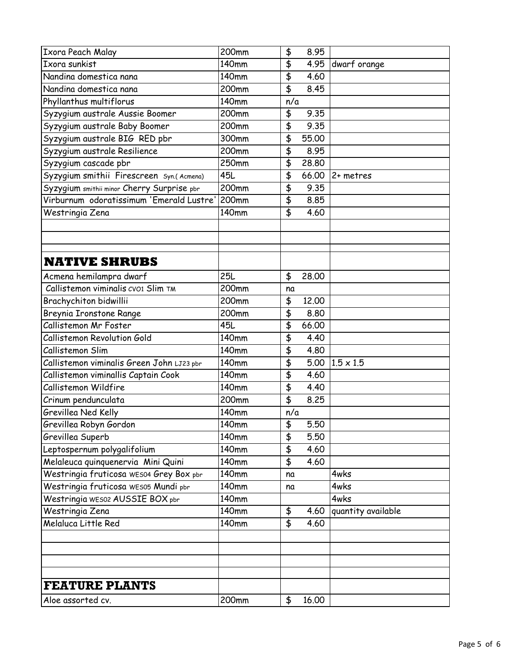| Ixora Peach Malay                          | 200mm               | \$<br>8.95                                     |                    |
|--------------------------------------------|---------------------|------------------------------------------------|--------------------|
| Ixora sunkist                              | $140$ mm            | \$<br>4.95                                     | dwarf orange       |
| Nandina domestica nana                     | 140mm               | \$<br>4.60                                     |                    |
| Nandina domestica nana                     | 200mm               | $\overline{\mathbf{P}}$<br>8.45                |                    |
| Phyllanthus multiflorus                    | 140mm               | n/a                                            |                    |
| Syzygium australe Aussie Boomer            | 200mm               | \$<br>9.35                                     |                    |
| Syzygium australe Baby Boomer              | 200mm               | $\overline{\boldsymbol{\mathfrak{s}}}$<br>9.35 |                    |
| Syzygium australe BIG RED pbr              | 300mm               | \$<br>55.00                                    |                    |
| Syzygium australe Resilience               | 200mm               | \$<br>8.95                                     |                    |
| Syzygium cascade pbr                       | 250mm               | \$<br>28,80                                    |                    |
| Syzygium smithii Firescreen Syn.(Acmena)   | 45L                 | \$<br>66.00                                    | 2+ metres          |
| Syzygium smithii minor Cherry Surprise pbr | 200mm               | \$<br>9.35                                     |                    |
| Virburnum odoratissimum 'Emerald Lustre'   | 200mm               | \$<br>8.85                                     |                    |
| Westringia Zena                            | 140mm               | \$<br>4.60                                     |                    |
|                                            |                     |                                                |                    |
|                                            |                     |                                                |                    |
|                                            |                     |                                                |                    |
| <b>NATIVE SHRUBS</b>                       |                     |                                                |                    |
| Acmena hemilampra dwarf                    | <b>25L</b>          | \$<br>28.00                                    |                    |
| Callistemon viminalis cvo1 Slim TM         | 200mm               | na                                             |                    |
| Brachychiton bidwillii                     | 200mm               | \$<br>12.00                                    |                    |
| Breynia Ironstone Range                    | 200mm               | \$<br>8.80                                     |                    |
| Callistemon Mr Foster                      | 45L                 | \$<br>66.00                                    |                    |
| Callistemon Revolution Gold                | 140mm               | \$<br>4.40                                     |                    |
| Callistemon Slim                           | 140mm               | \$<br>4.80                                     |                    |
| Callistemon viminalis Green John LJ23 pbr  | 140mm               | \$<br>5.00                                     | $1.5 \times 1.5$   |
| Callistemon viminallis Captain Cook        | 140mm               | $\overline{\boldsymbol{\mathsf{t}}}$<br>4.60   |                    |
| Callistemon Wildfire                       | <b>140mm</b>        | \$<br>4.40                                     |                    |
| Crinum pendunculata                        | 200mm               | $\overline{\boldsymbol{\mathfrak{s}}}$<br>8.25 |                    |
| Grevillea Ned Kelly                        | 140mm               | n/a                                            |                    |
| Grevillea Robyn Gordon                     | 140mm               | \$<br>5.50                                     |                    |
| Grevillea Superb                           | 140mm               | \$<br>5.50                                     |                    |
| Leptospernum polygalifolium                | 140mm               | \$<br>4.60                                     |                    |
| Melaleuca quinquenervia Mini Quini         | 140mm               | \$<br>4.60                                     |                    |
| Westringia fruticosa WES04 Grey Box pbr    | $\overline{1}40$ mm | na                                             | 4wks               |
| Westringia fruticosa WES05 Mundi pbr       | 140mm               | na                                             | 4wks               |
| Westringia WES02 AUSSIE BOX pbr            | 140mm               |                                                | 4wks               |
| Westringia Zena                            | 140mm               | \$<br>4.60                                     | quantity available |
| Melaluca Little Red                        | 140mm               | \$<br>4.60                                     |                    |
|                                            |                     |                                                |                    |
|                                            |                     |                                                |                    |
|                                            |                     |                                                |                    |
|                                            |                     |                                                |                    |
| <b>FEATURE PLANTS</b>                      |                     |                                                |                    |
| Aloe assorted cv.                          | 200mm               | \$<br>16.00                                    |                    |